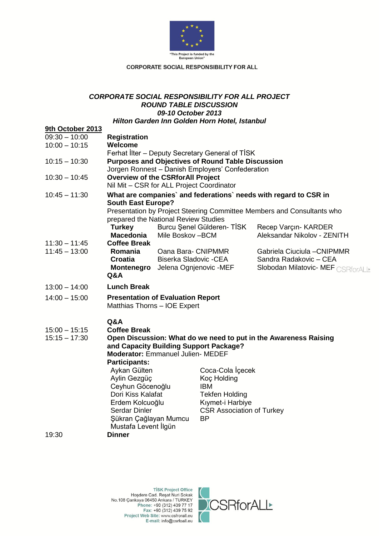

### **CORPORATE SOCIAL RESPONSIBILITY FOR ALL**

## *CORPORATE SOCIAL RESPONSIBILITY FOR ALL PROJECT ROUND TABLE DISCUSSION 09-10 October 2013 Hilton Garden Inn Golden Horn Hotel, Istanbul*

| 9th October 2013                   |                                                                          |                                                   |                                                 |                                   |  |
|------------------------------------|--------------------------------------------------------------------------|---------------------------------------------------|-------------------------------------------------|-----------------------------------|--|
| 09:30 - 10:00                      | <b>Registration</b>                                                      |                                                   |                                                 |                                   |  |
| $10:00 - 10:15$                    | Welcome                                                                  |                                                   |                                                 |                                   |  |
|                                    |                                                                          |                                                   | Ferhat Ilter - Deputy Secretary General of TISK |                                   |  |
| $10:15 - 10:30$                    | <b>Purposes and Objectives of Round Table Discussion</b>                 |                                                   |                                                 |                                   |  |
|                                    | Jorgen Ronnest - Danish Employers' Confederation                         |                                                   |                                                 |                                   |  |
| $10:30 - 10:45$                    | <b>Overview of the CSRforAll Project</b>                                 |                                                   |                                                 |                                   |  |
|                                    | Nil Mit - CSR for ALL Project Coordinator                                |                                                   |                                                 |                                   |  |
| $10:45 - 11:30$                    | What are companies' and federations' needs with regard to CSR in         |                                                   |                                                 |                                   |  |
|                                    | <b>South East Europe?</b>                                                |                                                   |                                                 |                                   |  |
|                                    | Presentation by Project Steering Committee Members and Consultants who   |                                                   |                                                 |                                   |  |
|                                    | prepared the National Review Studies                                     |                                                   |                                                 |                                   |  |
|                                    | <b>Turkey</b>                                                            |                                                   | Burcu Şenel Gülderen- TİSK                      | Recep Varçın- KARDER              |  |
|                                    | <b>Macedonia</b><br><b>Coffee Break</b>                                  | Mile Boskov-BCM                                   |                                                 | Aleksandar Nikolov - ZENITH       |  |
| $11:30 - 11:45$<br>$11:45 - 13:00$ | Romania                                                                  | Oana Bara- CNIPMMR                                |                                                 | Gabriela Ciuciula - CNIPMMR       |  |
|                                    | Croatia                                                                  |                                                   |                                                 | Sandra Radakovic - CEA            |  |
|                                    | Montenegro                                                               | Biserka Sladovic - CEA<br>Jelena Ognjenovic - MEF |                                                 | Slobodan Milatovic- MEF CSRforALL |  |
|                                    | Q&A                                                                      |                                                   |                                                 |                                   |  |
| $13:00 - 14:00$                    | <b>Lunch Break</b>                                                       |                                                   |                                                 |                                   |  |
|                                    |                                                                          |                                                   |                                                 |                                   |  |
| $14:00 - 15:00$                    | <b>Presentation of Evaluation Report</b><br>Matthias Thorns - IOE Expert |                                                   |                                                 |                                   |  |
|                                    |                                                                          |                                                   |                                                 |                                   |  |
|                                    | Q&A                                                                      |                                                   |                                                 |                                   |  |
| $15:00 - 15:15$                    | <b>Coffee Break</b>                                                      |                                                   |                                                 |                                   |  |
| $15:15 - 17:30$                    | Open Discussion: What do we need to put in the Awareness Raising         |                                                   |                                                 |                                   |  |
|                                    | and Capacity Building Support Package?                                   |                                                   |                                                 |                                   |  |
|                                    | Moderator: Emmanuel Julien- MEDEF                                        |                                                   |                                                 |                                   |  |
|                                    | <b>Participants:</b>                                                     |                                                   |                                                 |                                   |  |
|                                    | Aykan Gülten                                                             |                                                   | Coca-Cola Içecek                                |                                   |  |
|                                    | Aylin Gezgüç                                                             |                                                   | Koç Holding                                     |                                   |  |
|                                    | Ceyhun Göcenoğlu<br><b>IBM</b>                                           |                                                   |                                                 |                                   |  |
|                                    | Dori Kiss Kalafat<br><b>Tekfen Holding</b><br>Erdem Kolcuoğlu            |                                                   |                                                 |                                   |  |
|                                    | Kıymet-i Harbiye<br>Serdar Dinler<br><b>CSR Association of Turkey</b>    |                                                   |                                                 |                                   |  |
|                                    | <b>BP</b><br>Şükran Çağlayan Mumcu                                       |                                                   |                                                 |                                   |  |
|                                    | Mustafa Levent İlgün                                                     |                                                   |                                                 |                                   |  |
| 19:30                              | Dinner                                                                   |                                                   |                                                 |                                   |  |
|                                    |                                                                          |                                                   |                                                 |                                   |  |